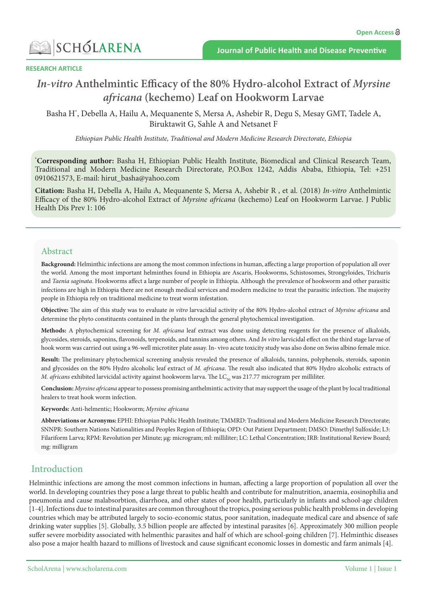

#### **RESEARCH ARTICLE**

# *In-vitro* Anthelmintic Efficacy of the 80% Hydro-alcohol Extract of Myrsine  $a$ *fricana* (*kechemo*) Leaf on Hookworm Larvae

Basha H<sup>\*</sup>, Debella A, Hailu A, Mequanente S, Mersa A, Ashebir R, Degu S, Mesay GMT, Tadele A, Biruktawit G, Sahle A and Netsanet F

Ethiopian Public Health Institute, Traditional and Modern Medicine Research Directorate, Ethiopia

\*Corresponding author: Basha H, Ethiopian Public Health Institute, Biomedical and Clinical Research Team, Traditional and Modern Medicine Research Directorate, P.O.Box 1242, Addis Ababa, Ethiopia, Tel: +251 0910621573, E-mail: hirut\_basha@yahoo.com

**Citation:** Basha H, Debella A, Hailu A, Mequanente S, Mersa A, Ashebir R, et al. (2018) *In-vitro* Anthelmintic Efficacy of the 80% Hydro-alcohol Extract of Myrsine africana (kechemo) Leaf on Hookworm Larvae. J Public Health Dis Prev 1: 106

### Abstract

Background: Helminthic infections are among the most common infections in human, affecting a large proportion of population all over the world. Among the most important helminthes found in Ethiopia are Ascaris, Hookworms, Schistosomes, Strongyloides, Trichuris and Taenia saginata. Hookworms affect a large number of people in Ethiopia. Although the prevalence of hookworm and other parasitic infections are high in Ethiopia there are not enough medical services and modern medicine to treat the parasitic infection. The majority people in Ethiopia rely on traditional medicine to treat worm infestation.

Objective: The aim of this study was to evaluate in vitro larvacidial activity of the 80% Hydro-alcohol extract of Myrsine africana and determine the phyto constituents contained in the plants through the general phytochemical investigation.

Methods: A phytochemical screening for *M. africana* leaf extract was done using detecting reagents for the presence of alkaloids, glycosides, steroids, saponins, flavonoids, terpenoids, and tannins among others. And *In vitro* larvicidal effect on the third stage larvae of hook worm was carried out using a 96-well microtiter plate assay. In-vivo acute toxicity study was also done on Swiss albino female mice.

Result: The preliminary phytochemical screening analysis revealed the presence of alkaloids, tannins, polyphenols, steroids, saponin and glycosides on the 80% Hydro alcoholic leaf extract of M. africana. The result also indicated that 80% Hydro alcoholic extracts of M. africans exhibited larvicidal activity against hookworm larva. The LC<sub>50</sub> was 217.77 microgram per milliliter.

Conclusion: Myrsine africana appear to possess promising anthelmintic activity that may support the usage of the plant by local traditional healers to treat hook worm infection.

Keywords: Anti-helmentic; Hookworm; Myrsine africana

Abbreviations or Acronyms: EPHI: Ethiopian Public Health Institute; TMMRD: Traditional and Modern Medicine Research Directorate; SNNPR: Southern Nations Nationalities and Peoples Region of Ethiopia; OPD: Out Patient Department; DMSO: Dimethyl Sulfoxide; L3: Filariform Larva; RPM: Revolution per Minute; µg: microgram; ml: milliliter; LC: Lethal Concentration; IRB: Institutional Review Board; mg: milligram

# Introduction

Helminthic infections are among the most common infections in human, affecting a large proportion of population all over the world. In developing countries they pose a large threat to public health and contribute for malnutrition, anaemia, eosinophilia and pneumonia and cause malabsorbtion, diarrhoea, and other states of poor health, particularly in infants and school-age children [1-4]. Infections due to intestinal parasites are common throughout the tropics, posing serious public health problems in developing countries which may be attributed largely to socio-economic status, poor sanitation, inadequate medical care and absence of safe drinking water supplies [5]. Globally, 3.5 billion people are affected by intestinal parasites [6]. Approximately 300 million people suffer severe morbidity associated with helmenthic parasites and half of which are school-going children [7]. Helminthic diseases also pose a major health hazard to millions of livestock and cause significant economic losses in domestic and farm animals [4].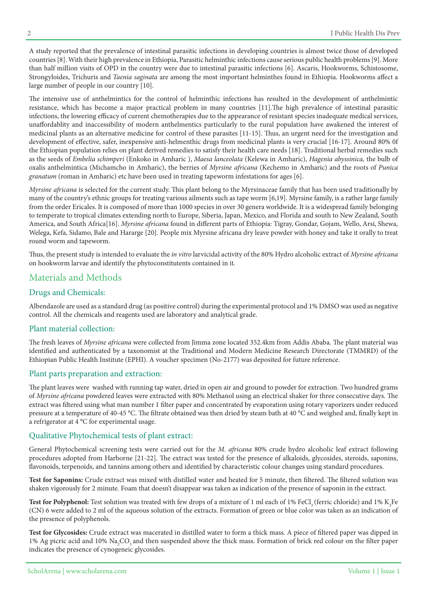A study reported that the prevalence of intestinal parasitic infections in developing countries is almost twice those of developed countries [8]. With their high prevalence in Ethiopia, Parasitic helminthic infections cause serious public health problems [9]. More than half million visits of OPD in the country were due to intestinal parasitic infections [6]. Ascaris, Hookworms, Schistosome, Strongyloides, Trichuris and *Taenia saginata* are among the most important helminthes found in Ethiopia. Hookworms affect a large number of people in our country [10].

The intensive use of anthelmintics for the control of helminthic infections has resulted in the development of anthelmintic resistance, which has become a major practical problem in many countries [11]. The high prevalence of intestinal parasitic infections, the lowering efficacy of current chemotherapies due to the appearance of resistant species inadequate medical services, unaffordablity and inaccessibility of modern anthelmentics particularly to the rural population have awakened the interest of medicinal plants as an alternative medicine for control of these parasites [11-15]. Thus, an urgent need for the investigation and development of effective, safer, inexpensive anti-helmenthic drugs from medicinal plants is very crucial [16-17]. Around 80% 0f the Ethiopian population relies on plant derived remedies to satisfy their health care needs [18]. Traditional herbal remedies such as the seeds of Embelia schimperi (Enkoko in Amharic ), Maesa lanceolata (Kelewa in Amharic), Hagenia abyssinica, the bulb of oxalis anthelmintica (Michamcho in Amharic), the berries of *Myrsine africana* (Kechemo in Amharic) and the roots of *Punica* granatum (roman in Amharic) etc have been used in treating tapeworm infestations for ages [6].

Myrsine africana is selected for the current study. This plant belong to the Myrsinaceae family that has been used traditionally by many of the country's ethnic groups for treating various ailments such as tape worm [6,19]. Myrsine family, is a rather large family from the order Ericales. It is composed of more than 1000 species in over 30 genera worldwide. It is a widespread family belonging to temperate to tropical climates extending north to Europe, Siberia, Japan, Mexico, and Florida and south to New Zealand, South America, and South Africa<sup>[16]</sup>. *Myrsine africana* found in different parts of Ethiopia: Tigray, Gondar, Gojam, Wello, Arsi, Shewa, Welega, Kefa, Sidamo, Bale and Hararge [20]. People mix Myrsine africana dry leave powder with honey and take it orally to treat round worm and tapeworm.

Thus, the present study is intended to evaluate the *in vitro* larvicidal activity of the 80% Hydro alcoholic extract of Myrsine africana on hookworm larvae and identify the phytoconstitutents contained in it.

# Materials and Methods

# Drugs and Chemicals:

Albendazole are used as a standard drug (as positive control) during the experimental protocol and 1% DMSO was used as negative control. All the chemicals and reagents used are laboratory and analytical grade.

#### Plant material collection:

The fresh leaves of Myrsine africana were collected from Jimma zone located 352.4km from Addis Ababa. The plant material was identified and authenticated by a taxonomist at the Traditional and Modern Medicine Research Directorate (TMMRD) of the Ethiopian Public Health Institute (EPHI). A voucher specimen (No-2177) was deposited for future reference.

# Plant parts preparation and extraction:

The plant leaves were washed with running tap water, dried in open air and ground to powder for extraction. Two hundred grams of Myrsine africana powdered leaves were extracted with 80% Methanol using an electrical shaker for three consecutive days. The extract was filtered using what man number 1 filter paper and concentrated by evaporation using rotary vaporizers under reduced pressure at a temperature of 40-45 °C. The filtrate obtained was then dried by steam bath at 40 °C and weighed and, finally kept in a refrigerator at 4  $^{\circ}$ C for experimental usage.

# Qualitative Phytochemical tests of plant extract:

General Phytochemical screening tests were carried out for the *M. africana* 80% crude hydro alcoholic leaf extract following procedures adopted from Harborne [21-22]. The extract was tested for the presence of alkaloids, glycosides, steroids, saponins, flavonoids, terpenoids, and tannins among others and identified by characteristic colour changes using standard procedures.

Test for Saponins: Crude extract was mixed with distilled water and heated for 5 minute, then filtered. The filtered solution was shaken vigorously for 2 minute. Foam that doesn't disappear was taken as indication of the presence of saponin in the extract.

Test for Polyphenol: Test solution was treated with few drops of a mixture of 1 ml each of 1% FeCl<sub>3</sub> (ferric chloride) and 1% K<sub>3</sub>Fe (CN) 6 were added to 2 ml of the aqueous solution of the extracts. Formation of green or blue color was taken as an indication of the presence of polyphenols.

Test for Glycosides: Crude extract was macerated in distilled water to form a thick mass. A piece of filtered paper was dipped in 1% Ag picric acid and 10%  $\rm Na_{2}CO_{3}$  and then suspended above the thick mass. Formation of brick red colour on the filter paper indicates the presence of cynogeneic glycosides.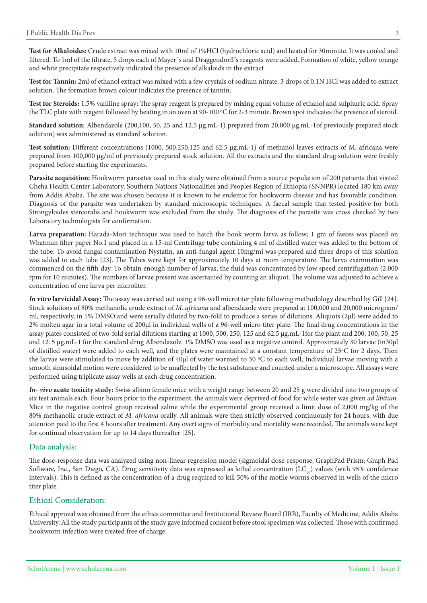Test for Alkaloides: Crude extract was mixed with 10ml of 1%HCl (hydrochloric acid) and heated for 30minute. It was cooled and filtered. To 1ml of the filtrate, 5 drops each of Mayer's and Draggendorff's reagents were added. Formation of white, yellow orange and white precipitate respectively indicated the presence of alkaloids in the extract

Test for Tannin: 2ml of ethanol extract was mixed with a few crystals of sodium nitrate. 3 drops of 0.1N HCl was added to extract solution. The formation brown colour indicates the presence of tannin.

Test for Steroids: 1.5% vaniline spray: The spray reagent is prepared by mixing equal volume of ethanol and sulphuric acid. Spray the TLC plate with reagent followed by heating in an oven at 90-100 °C for 2-3 minute. Brown spot indicates the presence of steroid.

Standard solution: Albendazole (200,100, 50, 25 and 12.5 µg mL-1) prepared from 20,000 µg mL-1of previously prepared stock solution) was administered as standard solution.

Test solution: Different concentrations (1000, 500,250,125 and 62.5 µg.mL-1) of methanol leaves extracts of M. africana were prepared from 100,000  $\mu$ g/ml of previously prepared stock solution. All the extracts and the standard drug solution were freshly prepared before starting the experiments.

Parasite acquisition: Hookworm parasites used in this study were obtained from a source population of 200 patients that visited Cheha Health Center Laboratory, Southern Nations Nationalities and Peoples Region of Ethiopia (SNNPR) located 180 km away from Addis Ababa. The site was chosen because it is known to be endemic for hookworm disease and has favorable condition. Diagnosis of the parasite was undertaken by standard microscopic techniques. A faecal sample that tested positive for both Strongyloides stercoralis and hookworm was excluded from the study. The diagnosis of the parasite was cross checked by two Laboratory technologists for confirmation.

**Larva preparation:** Harada-Mori technique was used to hatch the hook worm larva as follow; 1 gm of faeces was placed on Whatman filter paper No.1 and placed in a 15-ml Centrifuge tube containing 4 ml of distilled water was added to the bottom of the tube. To avoid fungal contamination Nystatin, an anti-fungal agent 10mg/ml was prepared and three drops of this solution was added to each tube [23]. The Tubes were kept for approximately 10 days at room temperature. The larva examination was commenced on the fifth day. To obtain enough number of larvas, the fluid was concentrated by low speed centrifugation (2,000 rpm for 10 minutes). The numbers of larvae present was ascertained by counting an aliquot. The volume was adjusted to achieve a concentration of one larva per microliter.

In vitro larvicidal Assay: The assay was carried out using a 96-well microtiter plate following methodology described by Gill [24]. Stock solutions of 80% methanolic crude extract of M. africana and albendazole were prepared at 100,000 and 20,000 microgram/ ml, respectively, in 1% DMSO and were serially diluted by two-fold to produce a series of dilutions. Aliquots (2μl) were added to 2% molten agar in a total volume of 200µl in individual wells of a 96-well micro titer plate. The final drug concentrations in the assay plates consisted of two-fold serial dilutions starting at 1000, 500, 250, 125 and 62.5  $\mu$ g mL-1for the plant and 200, 100, 50, 25 and 12.5 μg.mL-1 for the standard drug Albendazole. 1% DMSO was used as a negative control. Approximately 30 larvae (in30μl of distilled water) were added to each well, and the plates were maintained at a constant temperature of 25°C for 2 days. Then the larvae were stimulated to move by addition of 40μl of water warmed to 50 °C to each well; Individual larvae moving with a smooth sinusoidal motion were considered to be unaffected by the test substance and counted under a microscope. All assays were performed using triplicate assay wells at each drug concentration.

*In-* **vivo acute toxicity study:** Swiss albino female mice with a weight range between 20 and 25 g were divided into two groups of six test animals each. Four hours prior to the experiment, the animals were deprived of food for while water was given *ad libitum*. Mice in the negative control group received saline while the experimental group received a limit dose of 2,000 mg/kg of the 80% methanolic crude extract of *M. africana* orally. All animals were then strictly observed continuously for 24 hours, with due attention paid to the first 4 hours after treatment. Any overt signs of morbidity and mortality were recorded. The animals were kept for continual observation for up to 14 days thereafter [25].

#### Data analysis:

The dose-response data was analyzed using non-linear regression model (sigmoidal dose-response, GraphPad Prism; Graph Pad Software, Inc., San Diego, CA). Drug sensitivity data was expressed as lethal concentration  $(LC_{s0})$  values (with 95% confidence intervals). This is defined as the concentration of a drug required to kill 50% of the motile worms observed in wells of the micro titer plate.

#### Ethical Consideration:

Ethical approval was obtained from the ethics committee and Institutional Review Board (IRB), Faculty of Medicine, Addis Ababa University. All the study participants of the study gave informed consent before stool specimen was collected. Those with confirmed hookworm infection were treated free of charge.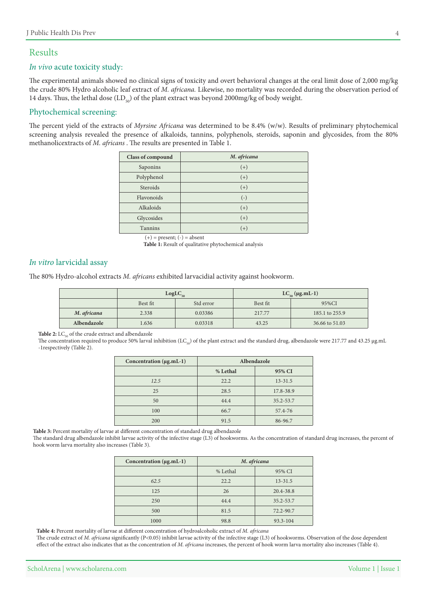# Results

#### In vivo acute toxicity study:

The experimental animals showed no clinical signs of toxicity and overt behavioral changes at the oral limit dose of 2,000 mg/kg the crude 80% Hydro alcoholic leaf extract of M. africana. Likewise, no mortality was recorded during the observation period of 14 days. Thus, the lethal dose  $(LD_{\nu\rho})$  of the plant extract was beyond 2000 mg/kg of body weight.

#### Phytochemical screening:

The percent yield of the extracts of Myrsine Africana was determined to be 8.4% (w/w). Results of preliminary phytochemical screening analysis revealed the presence of alkaloids, tannins, polyphenols, steroids, saponin and glycosides, from the 80% methanolicextracts of *M. africans* . The results are presented in Table 1.

| Class of compound | M. africana |
|-------------------|-------------|
| Saponins          | $(+)$       |
| Polyphenol        | $(+)$       |
| Steroids          | $(+)$       |
| Flavonoids        | $(-)$       |
| Alkaloids         | $(+)$       |
| Glycosides        | $(+)$       |
| <b>Tannins</b>    | $(+)$       |

 $(+)$  = present;  $(-)$  = absent

Table 1: Result of qualitative phytochemical analysis

#### In vitro larvicidal assay

The 80% Hydro-alcohol extracts M. africans exhibited larvacidial activity against hookworm.

|             | $LogLC_{50}$ |           | LC <sub>50</sub> (µg.mL-1) |                |
|-------------|--------------|-----------|----------------------------|----------------|
|             | Best fit     | Std error | Best fit                   | 95%CI          |
| M. africana | 2.338        | 0.03386   | 217.77                     | 185.1 to 255.9 |
| Albendazole | 1.636        | 0.03318   | 43.25                      | 36.66 to 51.03 |

Table 2: LC<sub>co</sub> of the crude extract and albendazole

The concentration required to produce 50% larval inhibition (LC<sub>S0</sub>) of the plant extract and the standard drug, albendazole were 217.77 and 43.25 µg.mL -1 respectively (Table 2).

| Concentration (µg.mL-1) | Albendazole |             |  |
|-------------------------|-------------|-------------|--|
|                         | % Lethal    | 95% CI      |  |
| 12.5                    | 22.2        | $13 - 31.5$ |  |
| 25                      | 28.5        | 17.8-38.9   |  |
| 50                      | 44.4        | 35.2-53.7   |  |
| 100                     | 66.7        | 57.4-76     |  |
| 200                     | 91.5        | 86-96.7     |  |

Table 3: Percent mortality of larvae at different concentration of standard drug albendazole

The standard drug albendazole inhibit larvae activity of the infective stage (L3) of hookworms. As the concentration of standard drug increases, the percent of hook worm larva mortality also increases (Table 3).

| Concentration (µg.mL-1) | M. africana |             |
|-------------------------|-------------|-------------|
|                         | % Lethal    | 95% CI      |
| 62.5                    | 22.2        | $13 - 31.5$ |
| 125                     | 26          | 20.4-38.8   |
| 250                     | 44.4        | 35.2-53.7   |
| 500                     | 81.5        | 72.2-90.7   |
| 1000                    | 98.8        | 93.3-104    |

**Table 4:** Percent mortality of larvae at different concentration of hydroalcoholic extract of M. africana

The crude extract of *M. africana* significantly (P<0.05) inhibit larvae activity of the infective stage (L3) of hookworms. Observation of the dose dependent effect of the extract also indicates that as the concentration of M. africana increases, the percent of hook worm larva mortality also increases (Table 4).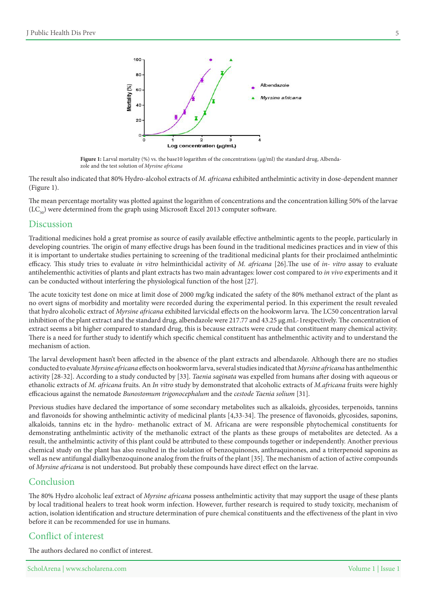

Fi**gure 1:** Larval mortality (%) vs. the base10 logarithm of the concentrations (µg/ml) the standard drug, Albenda-zole and the test solution of *Myrsine africana* 

The result also indicated that 80% Hydro-alcohol extracts of M. africana exhibited anthelmintic activity in dose-dependent manner  $(Figure 1)$ .

The mean percentage mortality was plotted against the logarithm of concentrations and the concentration killing 50% of the larvae  $(LC_{\epsilon_0})$  were determined from the graph using Microsoft Excel 2013 computer software.

# Discussion

Traditional medicines hold a great promise as source of easily available effective anthelmintic agents to the people, particularly in developing countries. The origin of many effective drugs has been found in the traditional medicines practices and in view of this it is important to undertake studies pertaining to screening of the traditional medicinal plants for their proclaimed anthelmintic efficacy. This study tries to evaluate in vitro helminthicidal activity of M. africana [26]. The use of in-vitro assay to evaluate antihelementhic activities of plants and plant extracts has two main advantages: lower cost compared to in vivo experiments and it can be conducted without interfering the physiological function of the host [27].

The acute toxicity test done on mice at limit dose of 2000 mg/kg indicated the safety of the 80% methanol extract of the plant as no overt signs of morbidity and mortality were recorded during the experimental period. In this experiment the result revealed that hydro alcoholic extract of Myrsine africana exhibited larvicidal effects on the hookworm larva. The LC50 concentration larval inhibition of the plant extract and the standard drug, albendazole were 217.77 and 43.25 µg.mL-1respectively. The concentration of extract seems a bit higher compared to standard drug, this is because extracts were crude that constituent many chemical activity. There is a need for further study to identify which specific chemical constituent has anthelmenthic activity and to understand the mechanism of action.

The larval development hasn't been affected in the absence of the plant extracts and albendazole. Although there are no studies conducted to evaluate Myrsine africana effects on hookworm larva, several studies indicated that Myrsine africana has anthelmenthic activity [28-32]. According to a study conducted by [33]. Taenia saginata was expelled from humans after dosing with aqueous or ethanolic extracts of *M. africana* fruits. An *In vitro* study by demonstrated that alcoholic extracts of *M. africana* fruits were highly efficacious against the nematode *Bunostomum trigonocephalum* and the cestode Taenia solium [31].

Previous studies have declared the importance of some secondary metabolites such as alkaloids, glycosides, terpenoids, tannins and flavonoids for showing anthelmintic activity of medicinal plants  $[4,33-34]$ . The presence of flavonoids, glycosides, saponins, alkaloids, tannins etc in the hydro- methanolic extract of M. Africana are were responsible phytochemical constituents for demonstrating anthelmintic activity of the methanolic extract of the plants as these groups of metabolites are detected. As a result, the anthelmintic activity of this plant could be attributed to these compounds together or independently. Another previous chemical study on the plant has also resulted in the isolation of benzoquinones, anthraquinones, and a triterpenoid saponins as well as new antifungal dialkylbenzoquinone analog from the fruits of the plant [35]. The mechanism of action of active compounds of Myrsine africana is not understood. But probably these compounds have direct effect on the larvae.

# Conclusion

The 80% Hydro alcoholic leaf extract of Myrsine africana possess anthelmintic activity that may support the usage of these plants by local traditional healers to treat hook worm infection. However, further research is required to study toxicity, mechanism of action, isolation identification and structure determination of pure chemical constituents and the effectiveness of the plant in vivo before it can be recommended for use in humans.

# Conflict of interest

The authors declared no conflict of interest.